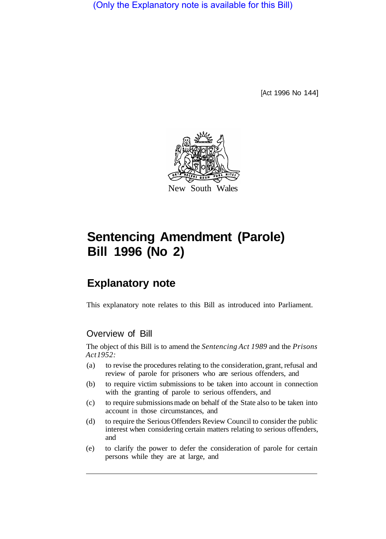(Only the Explanatory note is available for this Bill)

[Act 1996 No 144]



# **Sentencing Amendment (Parole) Bill 1996 (No 2)**

# **Explanatory note**

This explanatory note relates to this Bill as introduced into Parliament.

# Overview of Bill

The object of this Bill is to amend the *Sentencing Act 1989* and the *Prisons Act 1952:* 

- (a) to revise the procedures relating to the consideration, grant, refusal and review of parole for prisoners who are serious offenders, and
- (b) to require victim submissions to be taken into account in connection with the granting of parole to serious offenders, and
- (c) to require submissions made on behalf of the State also to be taken into account in those circumstances, and
- (d) to require the Serious Offenders Review Council to consider the public interest when considering certain matters relating to serious offenders, and
- (e) to clarify the power to defer the consideration of parole for certain persons while they are at large, and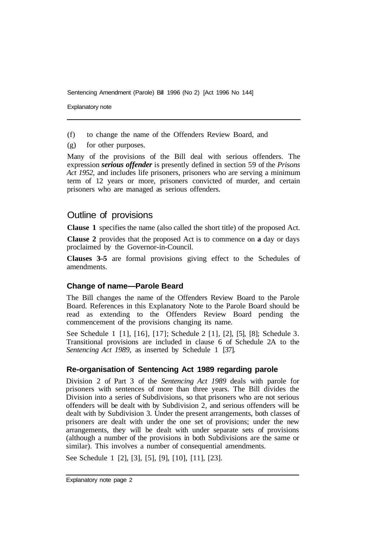Explanatory note

- (f) to change the name of the Offenders Review Board, and
- (g) for other purposes.

Many of the provisions of the Bill deal with serious offenders. The expression *serious offender* is presently defined in section 59 of the *Prisons Act 1952,* and includes life prisoners, prisoners who are serving a minimum term of 12 years or more, prisoners convicted of murder, and certain prisoners who are managed as serious offenders.

# Outline of provisions

**Clause 1** specifies the name (also called the short title) of the proposed Act.

**Clause 2** provides that the proposed Act is to commence on **a** day or days proclaimed by the Governor-in-Council.

**Clauses 3–5** are formal provisions giving effect to the Schedules of amendments.

# **Change of name—Parole Beard**

The Bill changes the name of the Offenders Review Board to the Parole Board. References in this Explanatory Note to the Parole Board should be read as extending to the Offenders Review Board pending the commencement of the provisions changing its name.

See Schedule 1 [1], [16], [17]; Schedule 2 [1], [2], [5], [8]; Schedule 3. Transitional provisions are included in clause 6 of Schedule 2A to the *Sentencing Act 1989, as inserted by Schedule 1 [37].* 

# **Re-organisation of Sentencing Act 1989 regarding parole**

Division 2 of Part 3 of the *Sentencing Act 1989* deals with parole for prisoners with sentences of more than three years. The Bill divides the Division into a series of Subdivisions, so that prisoners who are not serious offenders will be dealt with by Subdivision 2, and serious offenders will be dealt with by Subdivision 3. Under the present arrangements, both classes of prisoners are dealt with under the one set of provisions; under the new arrangements, they will be dealt with under separate sets of provisions (although a number of the provisions in both Subdivisions are the same or similar). This involves a number of consequential amendments.

See Schedule 1 [2], [3], [5], [9], [10], [11], [23].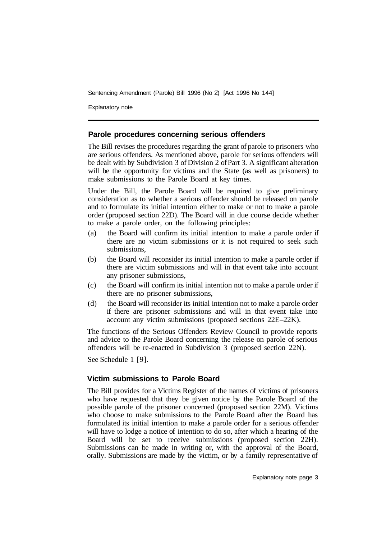Explanatory note

#### **Parole procedures concerning serious offenders**

The Bill revises the procedures regarding the grant of parole to prisoners who are serious offenders. As mentioned above, parole for serious offenders will be dealt with by Subdivision 3 of Division 2 of Part 3. A significant alteration will be the opportunity for victims and the State (as well as prisoners) to make submissions to the Parole Board at key times.

Under the Bill, the Parole Board will be required to give preliminary consideration as to whether a serious offender should be released on parole and to formulate its initial intention either to make or not to make a parole order (proposed section 22D). The Board will in due course decide whether to make a parole order, on the following principles:

- (a) the Board will confirm its initial intention to make a parole order if there are no victim submissions or it is not required to seek such submissions,
- (b) the Board will reconsider its initial intention to make a parole order if there are victim submissions and will in that event take into account any prisoner submissions,
- (c) the Board will confirm its initial intention not to make a parole order if there are no prisoner submissions,
- (d) the Board will reconsider its initial intention not to make a parole order if there are prisoner submissions and will in that event take into account any victim submissions (proposed sections 22E–22K).

The functions of the Serious Offenders Review Council to provide reports and advice to the Parole Board concerning the release on parole of serious offenders will be re-enacted in Subdivision 3 (proposed section 22N).

See Schedule 1 [9].

# **Victim submissions to Parole Board**

The Bill provides for a Victims Register of the names of victims of prisoners who have requested that they be given notice by the Parole Board of the possible parole of the prisoner concerned (proposed section 22M). Victims who choose to make submissions to the Parole Board after the Board has formulated its initial intention to make a parole order for a serious offender will have to lodge a notice of intention to do so, after which a hearing of the Board will be set to receive submissions (proposed section 22H). Submissions can be made in writing or, with the approval of the Board, orally. Submissions are made by the victim, or by a family representative of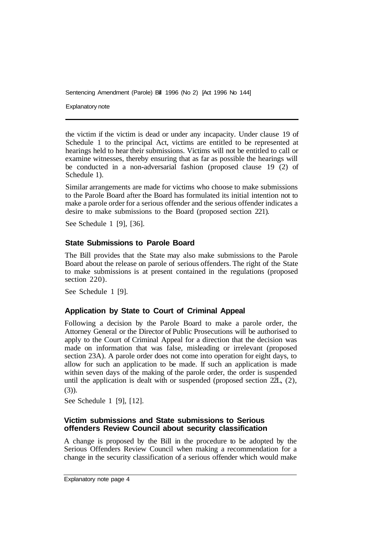Explanatory note

the victim if the victim is dead or under any incapacity. Under clause 19 of Schedule 1 to the principal Act, victims are entitled to be represented at hearings held to hear their submissions. Victims will not be entitled to call or examine witnesses, thereby ensuring that as far as possible the hearings will be conducted in a non-adversarial fashion (proposed clause 19 (2) of Schedule 1).

Similar arrangements are made for victims who choose to make submissions to the Parole Board after the Board has formulated its initial intention not to make a parole order for a serious offender and the serious offender indicates a desire to make submissions to the Board (proposed section 221).

See Schedule 1 [9], [36].

#### **State Submissions to Parole Board**

The Bill provides that the State may also make submissions to the Parole Board about the release on parole of serious offenders. The right of the State to make submissions is at present contained in the regulations (proposed section 220).

See Schedule 1 [9].

# **Application by State to Court of Criminal Appeal**

Following a decision by the Parole Board to make a parole order, the Attorney General or the Director of Public Prosecutions will be authorised to apply to the Court of Criminal Appeal for a direction that the decision was made on information that was false, misleading or irrelevant (proposed section 23A). A parole order does not come into operation for eight days, to allow for such an application to be made. If such an application is made within seven days of the making of the parole order, the order is suspended until the application is dealt with or suspended (proposed section 22L, (2), (3)).

See Schedule 1 [9], [12].

#### **Victim submissions and State submissions to Serious offenders Review Council about security classification**

A change is proposed by the Bill in the procedure to be adopted by the Serious Offenders Review Council when making a recommendation for a change in the security classification of a serious offender which would make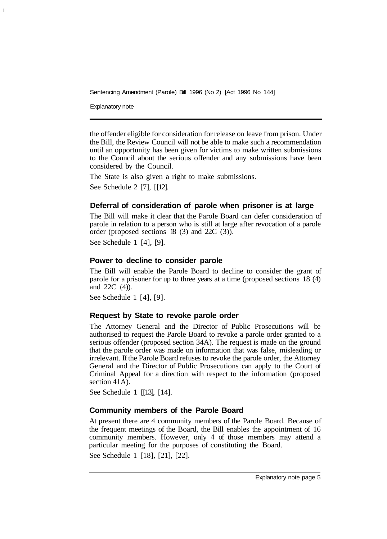Explanatory note

the offender eligible for consideration for release on leave from prison. Under the Bill, the Review Council will not be able to make such a recommendation until an opportunity has been given for victims to make written submissions to the Council about the serious offender and any submissions have been considered by the Council.

The State is also given a right to make submissions. See Schedule 2 [7], [ [12].

#### **Deferral of consideration of parole when prisoner is at large**

The Bill will make it clear that the Parole Board can defer consideration of parole in relation to a person who is still at large after revocation of a parole order (proposed sections 18 (3) and 22C (3)).

See Schedule 1 [4], [9].

#### **Power to decline to consider parole**

The Bill will enable the Parole Board to decline to consider the grant of parole for a prisoner for up to three years at a time (proposed sections 18 (4) and 22C (4)).

See Schedule 1 [4], [9].

#### **Request by State to revoke parole order**

The Attorney General and the Director of Public Prosecutions will be authorised to request the Parole Board to revoke a parole order granted to a serious offender (proposed section 34A). The request is made on the ground that the parole order was made on information that was false, misleading or irrelevant. If the Parole Board refuses to revoke the parole order, the Attorney General and the Director of Public Prosecutions can apply to the Court of Criminal Appeal for a direction with respect to the information (proposed section 41A).

See Schedule 1 [[13], [14].

# **Community members of the Parole Board**

At present there are 4 community members of the Parole Board. Because of the frequent meetings of the Board, the Bill enables the appointment of 16 community members. However, only 4 of those members may attend a particular meeting for the purposes of constituting the Board. See Schedule 1 [18], [21], [22].